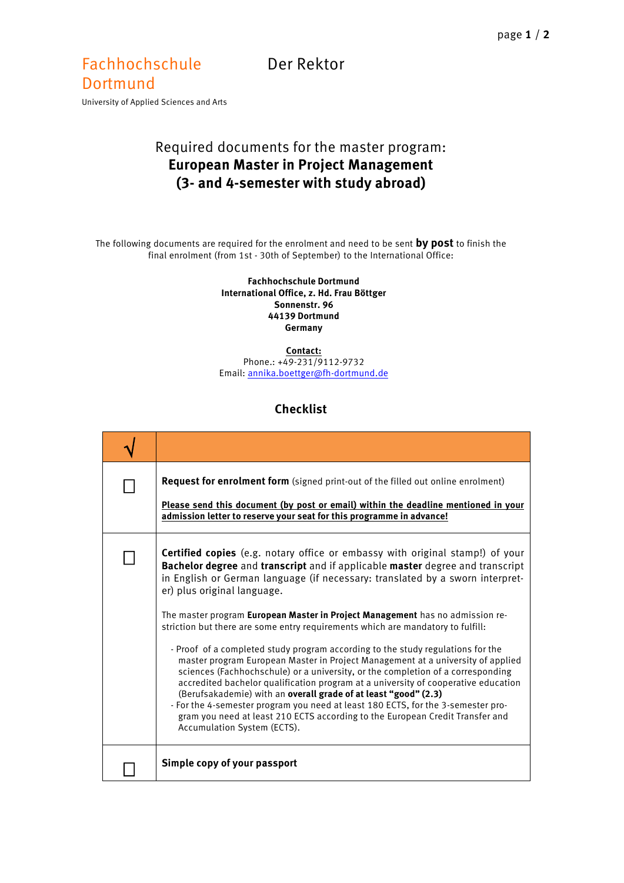## Fachhochschule Der Rektor Dortmund

University of Applied Sciences and Arts

## Required documents for the master program: **European Master in Project Management (3- and 4-semester with study abroad)**

The following documents are required for the enrolment and need to be sent **by post** to finish the final enrolment (from 1st - 30th of September) to the International Office:

> **Fachhochschule Dortmund International Office, z. Hd. Frau Böttger Sonnenstr. 96 44139 Dortmund Germany**

> **Contact:** Phone.: +49-231/9112-9732 Email[: annika.boettger@fh-dortmund.de](mailto:annika.boettger@fh-dortmund.de)

## **Checklist**

| <b>Request for enrolment form</b> (signed print-out of the filled out online enrolment)<br>Please send this document (by post or email) within the deadline mentioned in your<br>admission letter to reserve your seat for this programme in advance!                                                                                                                                                                                                                                                                                                                                                                                                                                                                                                                                                                                                                                                                                                                                                                                                                           |
|---------------------------------------------------------------------------------------------------------------------------------------------------------------------------------------------------------------------------------------------------------------------------------------------------------------------------------------------------------------------------------------------------------------------------------------------------------------------------------------------------------------------------------------------------------------------------------------------------------------------------------------------------------------------------------------------------------------------------------------------------------------------------------------------------------------------------------------------------------------------------------------------------------------------------------------------------------------------------------------------------------------------------------------------------------------------------------|
| <b>Certified copies</b> (e.g. notary office or embassy with original stamp!) of your<br>Bachelor degree and transcript and if applicable master degree and transcript<br>in English or German language (if necessary: translated by a sworn interpret-<br>er) plus original language.<br>The master program European Master in Project Management has no admission re-<br>striction but there are some entry requirements which are mandatory to fulfill:<br>- Proof of a completed study program according to the study regulations for the<br>master program European Master in Project Management at a university of applied<br>sciences (Fachhochschule) or a university, or the completion of a corresponding<br>accredited bachelor qualification program at a university of cooperative education<br>(Berufsakademie) with an overall grade of at least "good" (2.3)<br>- For the 4-semester program you need at least 180 ECTS, for the 3-semester pro-<br>gram you need at least 210 ECTS according to the European Credit Transfer and<br>Accumulation System (ECTS). |
| Simple copy of your passport                                                                                                                                                                                                                                                                                                                                                                                                                                                                                                                                                                                                                                                                                                                                                                                                                                                                                                                                                                                                                                                    |